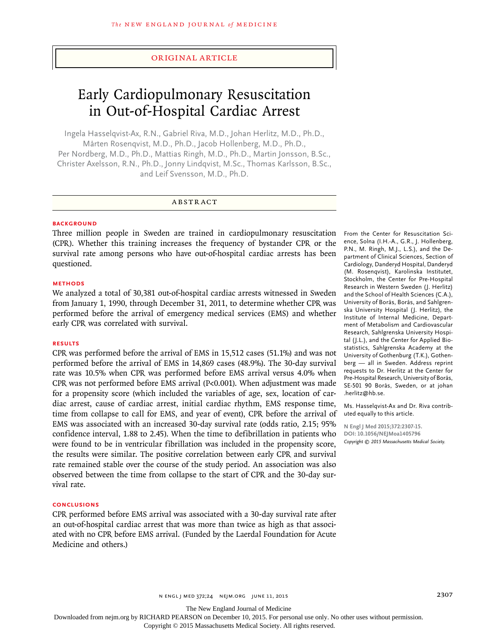# Original Article

# Early Cardiopulmonary Resuscitation in Out-of-Hospital Cardiac Arrest

Ingela Hasselqvist-Ax, R.N., Gabriel Riva, M.D., Johan Herlitz, M.D., Ph.D., Mårten Rosenqvist, M.D., Ph.D., Jacob Hollenberg, M.D., Ph.D., Per Nordberg, M.D., Ph.D., Mattias Ringh, M.D., Ph.D., Martin Jonsson, B.Sc., Christer Axelsson, R.N., Ph.D., Jonny Lindqvist, M.Sc., Thomas Karlsson, B.Sc., and Leif Svensson, M.D., Ph.D.

## ABSTRACT

#### **BACKGROUND**

Three million people in Sweden are trained in cardiopulmonary resuscitation (CPR). Whether this training increases the frequency of bystander CPR or the survival rate among persons who have out-of-hospital cardiac arrests has been questioned.

#### **METHODS**

We analyzed a total of 30,381 out-of-hospital cardiac arrests witnessed in Sweden from January 1, 1990, through December 31, 2011, to determine whether CPR was performed before the arrival of emergency medical services (EMS) and whether early CPR was correlated with survival.

## **RESULTS**

CPR was performed before the arrival of EMS in 15,512 cases (51.1%) and was not performed before the arrival of EMS in 14,869 cases (48.9%). The 30-day survival rate was 10.5% when CPR was performed before EMS arrival versus 4.0% when CPR was not performed before EMS arrival (P<0.001). When adjustment was made for a propensity score (which included the variables of age, sex, location of cardiac arrest, cause of cardiac arrest, initial cardiac rhythm, EMS response time, time from collapse to call for EMS, and year of event), CPR before the arrival of EMS was associated with an increased 30-day survival rate (odds ratio, 2.15; 95% confidence interval, 1.88 to 2.45). When the time to defibrillation in patients who were found to be in ventricular fibrillation was included in the propensity score, the results were similar. The positive correlation between early CPR and survival rate remained stable over the course of the study period. An association was also observed between the time from collapse to the start of CPR and the 30-day survival rate.

#### **CONCLUSIONS**

CPR performed before EMS arrival was associated with a 30-day survival rate after an out-of-hospital cardiac arrest that was more than twice as high as that associated with no CPR before EMS arrival. (Funded by the Laerdal Foundation for Acute Medicine and others.)

From the Center for Resuscitation Science, Solna (I.H.-A., G.R., J. Hollenberg, P.N., M. Ringh, M.J., L.S.), and the Department of Clinical Sciences, Section of Cardiology, Danderyd Hospital, Danderyd (M. Rosenqvist), Karolinska Institutet, Stockholm, the Center for Pre-Hospital Research in Western Sweden (J. Herlitz) and the School of Health Sciences (C.A.), University of Borås, Borås, and Sahlgrenska University Hospital (J. Herlitz), the Institute of Internal Medicine, Department of Metabolism and Cardiovascular Research, Sahlgrenska University Hospital (J.L.), and the Center for Applied Biostatistics, Sahlgrenska Academy at the University of Gothenburg (T.K.), Gothenberg — all in Sweden. Address reprint requests to Dr. Herlitz at the Center for Pre-Hospital Research, University of Borås, SE-501 90 Borås, Sweden, or at johan .herlitz@hb.se.

Ms. Hasselqvist-Ax and Dr. Riva contributed equally to this article.

**N Engl J Med 2015;372:2307-15. DOI: 10.1056/NEJMoa1405796** *Copyright © 2015 Massachusetts Medical Society.*

The New England Journal of Medicine

Downloaded from nejm.org by RICHARD PEARSON on December 10, 2015. For personal use only. No other uses without permission.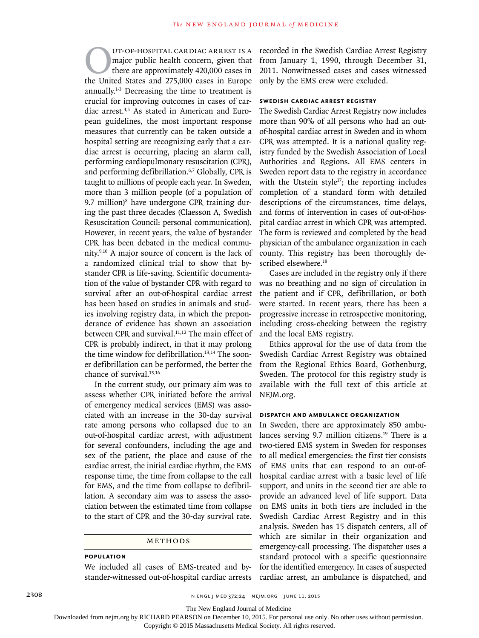UT-OF-HOSPITAL CARDIAC ARREST IS A<br>major public health concern, given that<br>there are approximately 420,000 cases in<br>the United States and 275.000 cases in Europe major public health concern, given that there are approximately 420,000 cases in the United States and 275,000 cases in Europe annually.1-3 Decreasing the time to treatment is crucial for improving outcomes in cases of cardiac arrest.4,5 As stated in American and European guidelines, the most important response measures that currently can be taken outside a hospital setting are recognizing early that a cardiac arrest is occurring, placing an alarm call, performing cardiopulmonary resuscitation (CPR), and performing defibrillation.<sup>6,7</sup> Globally, CPR is taught to millions of people each year. In Sweden, more than 3 million people (of a population of 9.7 million)<sup>8</sup> have undergone CPR training during the past three decades (Claesson A, Swedish Resuscitation Council: personal communication). However, in recent years, the value of bystander CPR has been debated in the medical community.9,10 A major source of concern is the lack of a randomized clinical trial to show that bystander CPR is life-saving. Scientific documentation of the value of bystander CPR with regard to survival after an out-of-hospital cardiac arrest has been based on studies in animals and studies involving registry data, in which the preponderance of evidence has shown an association between CPR and survival.<sup>11,12</sup> The main effect of CPR is probably indirect, in that it may prolong the time window for defibrillation.<sup>13,14</sup> The sooner defibrillation can be performed, the better the chance of survival.<sup>15,16</sup> UT-OF-HOSPITAL CARDIAC ARREST IS A recorded in the Swedish Cardiac Arrest Registry

In the current study, our primary aim was to assess whether CPR initiated before the arrival of emergency medical services (EMS) was associated with an increase in the 30-day survival rate among persons who collapsed due to an out-of-hospital cardiac arrest, with adjustment for several confounders, including the age and sex of the patient, the place and cause of the cardiac arrest, the initial cardiac rhythm, the EMS response time, the time from collapse to the call for EMS, and the time from collapse to defibrillation. A secondary aim was to assess the association between the estimated time from collapse to the start of CPR and the 30-day survival rate.

#### Methods

#### **Population**

We included all cases of EMS-treated and bystander-witnessed out-of-hospital cardiac arrests from January 1, 1990, through December 31, 2011. Nonwitnessed cases and cases witnessed only by the EMS crew were excluded.

# **Swedish Cardiac Arrest Registry**

The Swedish Cardiac Arrest Registry now includes more than 90% of all persons who had an outof-hospital cardiac arrest in Sweden and in whom CPR was attempted. It is a national quality registry funded by the Swedish Association of Local Authorities and Regions. All EMS centers in Sweden report data to the registry in accordance with the Utstein style $17$ ; the reporting includes completion of a standard form with detailed descriptions of the circumstances, time delays, and forms of intervention in cases of out-of-hospital cardiac arrest in which CPR was attempted. The form is reviewed and completed by the head physician of the ambulance organization in each county. This registry has been thoroughly described elsewhere.<sup>18</sup>

Cases are included in the registry only if there was no breathing and no sign of circulation in the patient and if CPR, defibrillation, or both were started. In recent years, there has been a progressive increase in retrospective monitoring, including cross-checking between the registry and the local EMS registry.

Ethics approval for the use of data from the Swedish Cardiac Arrest Registry was obtained from the Regional Ethics Board, Gothenburg, Sweden. The protocol for this registry study is available with the full text of this article at NEJM.org.

#### **Dispatch and Ambulance Organization**

In Sweden, there are approximately 850 ambulances serving 9.7 million citizens.<sup>19</sup> There is a two-tiered EMS system in Sweden for responses to all medical emergencies: the first tier consists of EMS units that can respond to an out-ofhospital cardiac arrest with a basic level of life support, and units in the second tier are able to provide an advanced level of life support. Data on EMS units in both tiers are included in the Swedish Cardiac Arrest Registry and in this analysis. Sweden has 15 dispatch centers, all of which are similar in their organization and emergency-call processing. The dispatcher uses a standard protocol with a specific questionnaire for the identified emergency. In cases of suspected cardiac arrest, an ambulance is dispatched, and

2308 **n engl j med 372;24 NEIM.ORG JUNE 11, 2015** 

The New England Journal of Medicine

Downloaded from nejm.org by RICHARD PEARSON on December 10, 2015. For personal use only. No other uses without permission.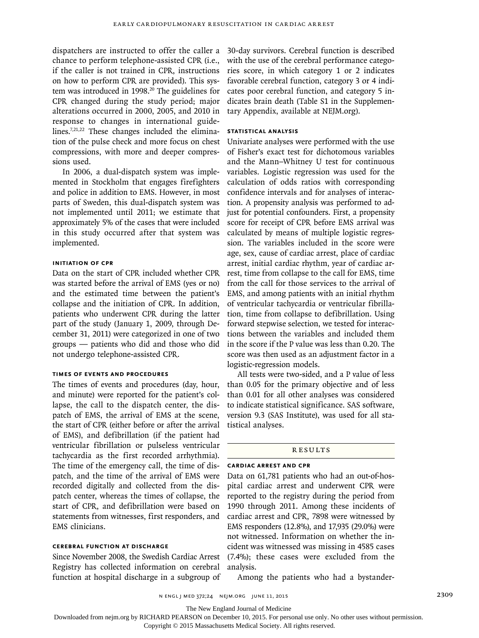dispatchers are instructed to offer the caller a chance to perform telephone-assisted CPR (i.e., if the caller is not trained in CPR, instructions on how to perform CPR are provided). This system was introduced in 1998.<sup>20</sup> The guidelines for CPR changed during the study period; major alterations occurred in 2000, 2005, and 2010 in response to changes in international guidelines.7,21,22 These changes included the elimination of the pulse check and more focus on chest compressions, with more and deeper compressions used.

In 2006, a dual-dispatch system was implemented in Stockholm that engages firefighters and police in addition to EMS. However, in most parts of Sweden, this dual-dispatch system was not implemented until 2011; we estimate that approximately 5% of the cases that were included in this study occurred after that system was implemented.

# **Initiation of CPR**

Data on the start of CPR included whether CPR was started before the arrival of EMS (yes or no) and the estimated time between the patient's collapse and the initiation of CPR. In addition, patients who underwent CPR during the latter part of the study (January 1, 2009, through December 31, 2011) were categorized in one of two groups — patients who did and those who did not undergo telephone-assisted CPR.

#### **Times of Events and Procedures**

The times of events and procedures (day, hour, and minute) were reported for the patient's collapse, the call to the dispatch center, the dispatch of EMS, the arrival of EMS at the scene, the start of CPR (either before or after the arrival of EMS), and defibrillation (if the patient had ventricular fibrillation or pulseless ventricular tachycardia as the first recorded arrhythmia). The time of the emergency call, the time of dispatch, and the time of the arrival of EMS were recorded digitally and collected from the dispatch center, whereas the times of collapse, the start of CPR, and defibrillation were based on statements from witnesses, first responders, and EMS clinicians.

# **Cerebral Function at Discharge**

Since November 2008, the Swedish Cardiac Arrest Registry has collected information on cerebral function at hospital discharge in a subgroup of

30-day survivors. Cerebral function is described with the use of the cerebral performance categories score, in which category 1 or 2 indicates favorable cerebral function, category 3 or 4 indicates poor cerebral function, and category 5 indicates brain death (Table S1 in the Supplementary Appendix, available at NEJM.org).

# **Statistical Analysis**

Univariate analyses were performed with the use of Fisher's exact test for dichotomous variables and the Mann–Whitney U test for continuous variables. Logistic regression was used for the calculation of odds ratios with corresponding confidence intervals and for analyses of interaction. A propensity analysis was performed to adjust for potential confounders. First, a propensity score for receipt of CPR before EMS arrival was calculated by means of multiple logistic regression. The variables included in the score were age, sex, cause of cardiac arrest, place of cardiac arrest, initial cardiac rhythm, year of cardiac arrest, time from collapse to the call for EMS, time from the call for those services to the arrival of EMS, and among patients with an initial rhythm of ventricular tachycardia or ventricular fibrillation, time from collapse to defibrillation. Using forward stepwise selection, we tested for interactions between the variables and included them in the score if the P value was less than 0.20. The score was then used as an adjustment factor in a logistic-regression models.

All tests were two-sided, and a P value of less than 0.05 for the primary objective and of less than 0.01 for all other analyses was considered to indicate statistical significance. SAS software, version 9.3 (SAS Institute), was used for all statistical analyses.

#### **RESULTS**

## **Cardiac Arrest and CPR**

Data on 61,781 patients who had an out-of-hospital cardiac arrest and underwent CPR were reported to the registry during the period from 1990 through 2011. Among these incidents of cardiac arrest and CPR, 7898 were witnessed by EMS responders (12.8%), and 17,935 (29.0%) were not witnessed. Information on whether the incident was witnessed was missing in 4585 cases (7.4%); these cases were excluded from the analysis.

Among the patients who had a bystander-

n engl j med 372;24 nejm.org June 11, 2015 2309

The New England Journal of Medicine

Downloaded from nejm.org by RICHARD PEARSON on December 10, 2015. For personal use only. No other uses without permission.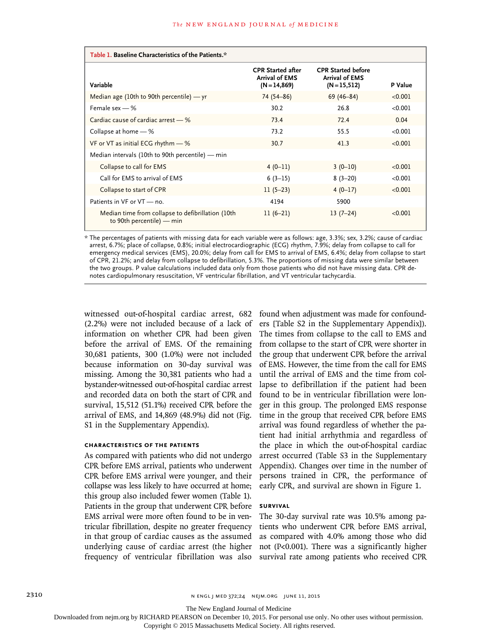| Table 1. Baseline Characteristics of the Patients.*                              |                                                                      |                                                                       |         |  |  |
|----------------------------------------------------------------------------------|----------------------------------------------------------------------|-----------------------------------------------------------------------|---------|--|--|
| Variable                                                                         | <b>CPR</b> Started after<br><b>Arrival of EMS</b><br>$(N = 14, 869)$ | <b>CPR Started before</b><br><b>Arrival of EMS</b><br>$(N = 15, 512)$ | P Value |  |  |
| Median age (10th to 90th percentile) $-$ yr                                      | 74 (54-86)                                                           | $69(46 - 84)$                                                         | < 0.001 |  |  |
| Female sex $-$ %                                                                 | 30.2                                                                 | 26.8                                                                  | < 0.001 |  |  |
| Cardiac cause of cardiac arrest - %                                              | 73.4                                                                 | $72.4$                                                                | 0.04    |  |  |
| Collapse at home $-$ %                                                           | 73.2                                                                 | 55.5                                                                  | < 0.001 |  |  |
| VF or VT as initial ECG rhythm - %                                               | 30.7                                                                 | 41.3                                                                  | < 0.001 |  |  |
| Median intervals (10th to 90th percentile) — min                                 |                                                                      |                                                                       |         |  |  |
| Collapse to call for EMS                                                         | $4(0-11)$                                                            | $3(0-10)$                                                             | < 0.001 |  |  |
| Call for EMS to arrival of EMS                                                   | $6(3-15)$                                                            | $8(3-20)$                                                             | < 0.001 |  |  |
| Collapse to start of CPR                                                         | $11(5-23)$                                                           | $4(0-17)$                                                             | < 0.001 |  |  |
| Patients in VF or VT - no.                                                       | 4194                                                                 | 5900                                                                  |         |  |  |
| Median time from collapse to defibrillation (10th<br>to 90th percentile) $-$ min | $11(6-21)$                                                           | $13(7-24)$                                                            | < 0.001 |  |  |

\* The percentages of patients with missing data for each variable were as follows: age, 3.3%; sex, 3.2%; cause of cardiac arrest, 6.7%; place of collapse, 0.8%; initial electrocardiographic (ECG) rhythm, 7.9%; delay from collapse to call for emergency medical services (EMS), 20.0%; delay from call for EMS to arrival of EMS, 6.4%; delay from collapse to start of CPR, 21.2%; and delay from collapse to defibrillation, 5.3%. The proportions of missing data were similar between the two groups. P value calculations included data only from those patients who did not have missing data. CPR denotes cardiopulmonary resuscitation, VF ventricular fibrillation, and VT ventricular tachycardia.

witnessed out-of-hospital cardiac arrest, 682 (2.2%) were not included because of a lack of information on whether CPR had been given before the arrival of EMS. Of the remaining 30,681 patients, 300 (1.0%) were not included because information on 30-day survival was missing. Among the 30,381 patients who had a bystander-witnessed out-of-hospital cardiac arrest and recorded data on both the start of CPR and survival, 15,512 (51.1%) received CPR before the arrival of EMS, and 14,869 (48.9%) did not (Fig. S1 in the Supplementary Appendix).

# **Characteristics of the Patients**

As compared with patients who did not undergo CPR before EMS arrival, patients who underwent CPR before EMS arrival were younger, and their collapse was less likely to have occurred at home; this group also included fewer women (Table 1). Patients in the group that underwent CPR before EMS arrival were more often found to be in ventricular fibrillation, despite no greater frequency in that group of cardiac causes as the assumed underlying cause of cardiac arrest (the higher frequency of ventricular fibrillation was also found when adjustment was made for confounders [Table S2 in the Supplementary Appendix]). The times from collapse to the call to EMS and from collapse to the start of CPR were shorter in the group that underwent CPR before the arrival of EMS. However, the time from the call for EMS until the arrival of EMS and the time from collapse to defibrillation if the patient had been found to be in ventricular fibrillation were longer in this group. The prolonged EMS response time in the group that received CPR before EMS arrival was found regardless of whether the patient had initial arrhythmia and regardless of the place in which the out-of-hospital cardiac arrest occurred (Table S3 in the Supplementary Appendix). Changes over time in the number of persons trained in CPR, the performance of early CPR, and survival are shown in Figure 1.

## **Survival**

The 30-day survival rate was 10.5% among patients who underwent CPR before EMS arrival, as compared with 4.0% among those who did not (P<0.001). There was a significantly higher survival rate among patients who received CPR

2310 **NENGL JMED 372;24 NEIM.ORG JUNE 11, 2015** 

The New England Journal of Medicine

Downloaded from nejm.org by RICHARD PEARSON on December 10, 2015. For personal use only. No other uses without permission.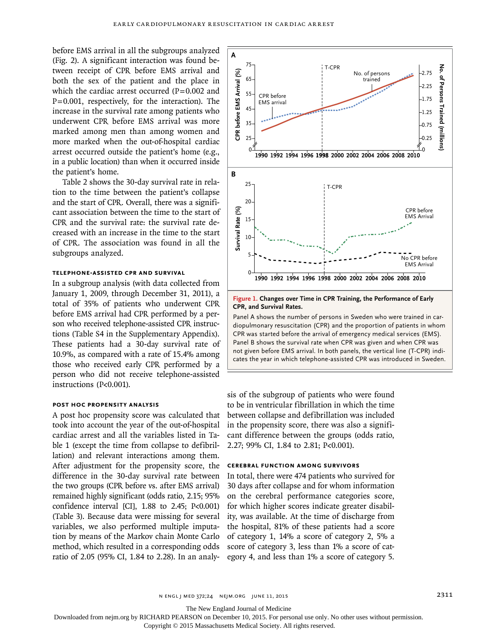before EMS arrival in all the subgroups analyzed (Fig. 2). A significant interaction was found between receipt of CPR before EMS arrival and both the sex of the patient and the place in which the cardiac arrest occurred  $(P=0.002$  and  $P=0.001$ , respectively, for the interaction). The increase in the survival rate among patients who underwent CPR before EMS arrival was more marked among men than among women and more marked when the out-of-hospital cardiac arrest occurred outside the patient's home (e.g., in a public location) than when it occurred inside the patient's home.

Table 2 shows the 30-day survival rate in relation to the time between the patient's collapse and the start of CPR. Overall, there was a significant association between the time to the start of CPR and the survival rate: the survival rate decreased with an increase in the time to the start of CPR. The association was found in all the subgroups analyzed.

# **Telephone-Assisted CPR and Survival**

In a subgroup analysis (with data collected from January 1, 2009, through December 31, 2011), a total of 35% of patients who underwent CPR before EMS arrival had CPR performed by a person who received telephone-assisted CPR instructions (Table S4 in the Supplementary Appendix). These patients had a 30-day survival rate of 10.9%, as compared with a rate of 15.4% among those who received early CPR performed by a person who did not receive telephone-assisted instructions (P<0.001).

## **Post Hoc Propensity Analysis**

A post hoc propensity score was calculated that took into account the year of the out-of-hospital cardiac arrest and all the variables listed in Table 1 (except the time from collapse to defibrillation) and relevant interactions among them. After adjustment for the propensity score, the difference in the 30-day survival rate between the two groups (CPR before vs. after EMS arrival) remained highly significant (odds ratio, 2.15; 95% confidence interval [CI],  $1.88$  to  $2.45$ ;  $P<0.001$ ) (Table 3). Because data were missing for several variables, we also performed multiple imputation by means of the Markov chain Monte Carlo method, which resulted in a corresponding odds ratio of 2.05 (95% CI, 1.84 to 2.28). In an analy-



**Figure 1. Changes over Time in CPR Training, the Performance of Early CPR, and Survival Rates.**

Panel A shows the number of persons in Sweden who were trained in cardiopulmonary resuscitation (CPR) and the proportion of patients in whom CPR was started before the arrival of emergency medical services (EMS). Panel B shows the survival rate when CPR was given and when CPR was not given before EMS arrival. In both panels, the vertical line (T-CPR) indi-

sis of the subgroup of patients who were found to be in ventricular fibrillation in which the time between collapse and defibrillation was included in the propensity score, there was also a significant difference between the groups (odds ratio, 2.27; 99% CI, 1.84 to 2.81; P<0.001).

#### **Cerebral Function among Survivors**

In total, there were 474 patients who survived for 30 days after collapse and for whom information on the cerebral performance categories score, for which higher scores indicate greater disability, was available. At the time of discharge from the hospital, 81% of these patients had a score of category 1, 14% a score of category 2, 5% a score of category 3, less than 1% a score of category 4, and less than 1% a score of category 5.

n engl j med 372;24 nejm.org June 11, 2015 2311

The New England Journal of Medicine

Downloaded from nejm.org by RICHARD PEARSON on December 10, 2015. For personal use only. No other uses without permission.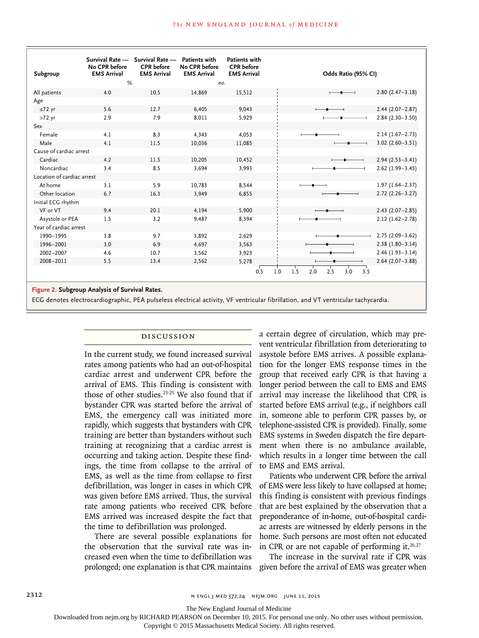| Subgroup<br>All patients<br>Age<br>$\leq 72$ yr<br>$>72$ yr | <b>EMS Arrival</b><br>%<br>4.0<br>5.6 | <b>EMS Arrival</b><br>10.5 | <b>EMS Arrival</b><br>no.<br>14,869 | <b>EMS Arrival</b><br>15,512 | Odds Ratio (95% CI)                    |                     |
|-------------------------------------------------------------|---------------------------------------|----------------------------|-------------------------------------|------------------------------|----------------------------------------|---------------------|
|                                                             |                                       |                            |                                     |                              |                                        |                     |
|                                                             |                                       |                            |                                     |                              |                                        |                     |
|                                                             |                                       |                            |                                     |                              |                                        | $2.80(2.47-3.18)$   |
|                                                             |                                       |                            |                                     |                              |                                        |                     |
|                                                             |                                       | 12.7                       | 6,405                               | 9.043                        |                                        | $2.44(2.07 - 2.87)$ |
|                                                             | 2.9                                   | 7.9                        | 8,011                               | 5,929                        |                                        | $2.84(2.30-3.50)$   |
| Sex                                                         |                                       |                            |                                     |                              |                                        |                     |
| Female                                                      | 4.1                                   | 8.3                        | 4,343                               | 4,053                        |                                        | $2.14(1.67 - 2.73)$ |
| Male                                                        | 4.1                                   | 11.5                       | 10,036                              | 11,085                       |                                        | $3.02$ (2.60-3.51)  |
| Cause of cardiac arrest                                     |                                       |                            |                                     |                              |                                        |                     |
| Cardiac                                                     | 4.2                                   | 11.5                       | 10,205                              | 10,452                       |                                        | $2.94(2.53 - 3.41)$ |
| Noncardiac                                                  | 3.4                                   | 8.5                        | 3,694                               | 3,993                        |                                        | $2.62(1.99 - 3.45)$ |
| Location of cardiac arrest                                  |                                       |                            |                                     |                              |                                        |                     |
| At home                                                     | 3.1                                   | 5.9                        | 10,783                              | 8,544                        |                                        | $1.97(1.64 - 2.37)$ |
| Other location                                              | 6.7                                   | 16.3                       | 3,949                               | 6,855                        |                                        | $2.72(2.26 - 3.27)$ |
| Initial ECG rhythm                                          |                                       |                            |                                     |                              |                                        |                     |
| VF or VT                                                    | 9.4                                   | 20.1                       | 4.194                               | 5.900                        |                                        | $2.43$ (2.07-2.85)  |
| Asystole or PEA                                             | 1.5                                   | 3.2                        | 9,487                               | 8,394                        |                                        | $2.12(1.62 - 2.78)$ |
| Year of cardiac arrest                                      |                                       |                            |                                     |                              |                                        |                     |
| 1990-1995                                                   | 3.8                                   | 9.7                        | 3,892                               | 2,629                        |                                        | $2.75(2.09 - 3.62)$ |
| 1996-2001                                                   | 3.0                                   | 6.9                        | 4,697                               | 3,563                        |                                        | $2.38(1.80-3.14)$   |
| 2002-2007                                                   | 4.6                                   | 10.7                       | 3,562                               | 3,923                        |                                        | $2.46(1.93 - 3.14)$ |
| 2008-2011                                                   | 5.5                                   | 13.4                       | 2,562                               | 5,278                        |                                        | $2.64(2.07-3.88)$   |
|                                                             |                                       |                            |                                     | 0.5                          | 1.5<br>2.5<br>3.0<br>1.0<br>2.0<br>3.5 |                     |
|                                                             |                                       |                            |                                     |                              |                                        |                     |

ECG denotes electrocardiographic, PEA pulseless electrical activity, VF ventricular fibrillation, and VT ventricular tachycardia.

# Discussion

In the current study, we found increased survival rates among patients who had an out-of-hospital cardiac arrest and underwent CPR before the arrival of EMS. This finding is consistent with those of other studies.<sup>23-25</sup> We also found that if bystander CPR was started before the arrival of EMS, the emergency call was initiated more rapidly, which suggests that bystanders with CPR training are better than bystanders without such training at recognizing that a cardiac arrest is occurring and taking action. Despite these findings, the time from collapse to the arrival of EMS, as well as the time from collapse to first defibrillation, was longer in cases in which CPR was given before EMS arrived. Thus, the survival rate among patients who received CPR before EMS arrived was increased despite the fact that the time to defibrillation was prolonged.

There are several possible explanations for the observation that the survival rate was increased even when the time to defibrillation was prolonged; one explanation is that CPR maintains a certain degree of circulation, which may prevent ventricular fibrillation from deteriorating to asystole before EMS arrives. A possible explanation for the longer EMS response times in the group that received early CPR is that having a longer period between the call to EMS and EMS arrival may increase the likelihood that CPR is started before EMS arrival (e.g., if neighbors call in, someone able to perform CPR passes by, or telephone-assisted CPR is provided). Finally, some EMS systems in Sweden dispatch the fire department when there is no ambulance available, which results in a longer time between the call to EMS and EMS arrival.

Patients who underwent CPR before the arrival of EMS were less likely to have collapsed at home; this finding is consistent with previous findings that are best explained by the observation that a preponderance of in-home, out-of-hospital cardiac arrests are witnessed by elderly persons in the home. Such persons are most often not educated in CPR or are not capable of performing it.<sup>26,27</sup>

The increase in the survival rate if CPR was given before the arrival of EMS was greater when

The New England Journal of Medicine

Downloaded from nejm.org by RICHARD PEARSON on December 10, 2015. For personal use only. No other uses without permission.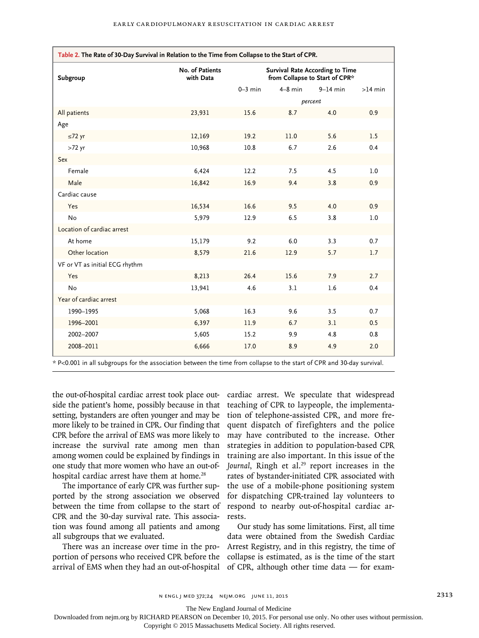| Table 2. The Rate of 30-Day Survival in Relation to the Time from Collapse to the Start of CPR. |                              |                                                                          |           |            |           |  |
|-------------------------------------------------------------------------------------------------|------------------------------|--------------------------------------------------------------------------|-----------|------------|-----------|--|
| Subgroup                                                                                        | No. of Patients<br>with Data | <b>Survival Rate According to Time</b><br>from Collapse to Start of CPR* |           |            |           |  |
|                                                                                                 |                              | $0-3$ min                                                                | $4-8$ min | $9-14$ min | $>14$ min |  |
|                                                                                                 |                              |                                                                          | percent   |            |           |  |
| All patients                                                                                    | 23,931                       | 15.6                                                                     | 8.7       | 4.0        | 0.9       |  |
| Age                                                                                             |                              |                                                                          |           |            |           |  |
| $\leq 72$ yr                                                                                    | 12,169                       | 19.2                                                                     | 11.0      | 5.6        | 1.5       |  |
| $>72$ yr                                                                                        | 10,968                       | 10.8                                                                     | 6.7       | 2.6        | 0.4       |  |
| Sex                                                                                             |                              |                                                                          |           |            |           |  |
| Female                                                                                          | 6,424                        | 12.2                                                                     | 7.5       | 4.5        | 1.0       |  |
| Male                                                                                            | 16,842                       | 16.9                                                                     | 9.4       | 3.8        | 0.9       |  |
| Cardiac cause                                                                                   |                              |                                                                          |           |            |           |  |
| Yes                                                                                             | 16,534                       | 16.6                                                                     | 9.5       | 4.0        | 0.9       |  |
| No                                                                                              | 5,979                        | 12.9                                                                     | 6.5       | 3.8        | 1.0       |  |
| Location of cardiac arrest                                                                      |                              |                                                                          |           |            |           |  |
| At home                                                                                         | 15,179                       | 9.2                                                                      | 6.0       | 3.3        | 0.7       |  |
| Other location                                                                                  | 8,579                        | 21.6                                                                     | 12.9      | 5.7        | 1.7       |  |
| VF or VT as initial ECG rhythm                                                                  |                              |                                                                          |           |            |           |  |
| Yes                                                                                             | 8,213                        | 26.4                                                                     | 15.6      | 7.9        | 2.7       |  |
| <b>No</b>                                                                                       | 13,941                       | 4.6                                                                      | 3.1       | 1.6        | 0.4       |  |
| Year of cardiac arrest                                                                          |                              |                                                                          |           |            |           |  |
| 1990-1995                                                                                       | 5,068                        | 16.3                                                                     | 9.6       | 3.5        | 0.7       |  |
| 1996-2001                                                                                       | 6,397                        | 11.9                                                                     | 6.7       | 3.1        | 0.5       |  |
| 2002-2007                                                                                       | 5,605                        | 15.2                                                                     | 9.9       | 4.8        | 0.8       |  |
| 2008-2011                                                                                       | 6,666                        | 17.0                                                                     | 8.9       | 4.9        | 2.0       |  |

\* P<0.001 in all subgroups for the association between the time from collapse to the start of CPR and 30-day survival.

the out-of-hospital cardiac arrest took place outside the patient's home, possibly because in that setting, bystanders are often younger and may be more likely to be trained in CPR. Our finding that CPR before the arrival of EMS was more likely to increase the survival rate among men than among women could be explained by findings in one study that more women who have an out-ofhospital cardiac arrest have them at home.<sup>28</sup>

The importance of early CPR was further supported by the strong association we observed between the time from collapse to the start of CPR and the 30-day survival rate. This association was found among all patients and among all subgroups that we evaluated.

There was an increase over time in the proportion of persons who received CPR before the arrival of EMS when they had an out-of-hospital cardiac arrest. We speculate that widespread teaching of CPR to laypeople, the implementation of telephone-assisted CPR, and more frequent dispatch of firefighters and the police may have contributed to the increase. Other strategies in addition to population-based CPR training are also important. In this issue of the Journal, Ringh et al.<sup>29</sup> report increases in the rates of bystander-initiated CPR associated with the use of a mobile-phone positioning system for dispatching CPR-trained lay volunteers to respond to nearby out-of-hospital cardiac arrests.

Our study has some limitations. First, all time data were obtained from the Swedish Cardiac Arrest Registry, and in this registry, the time of collapse is estimated, as is the time of the start of CPR, although other time data — for exam-

The New England Journal of Medicine

Downloaded from nejm.org by RICHARD PEARSON on December 10, 2015. For personal use only. No other uses without permission.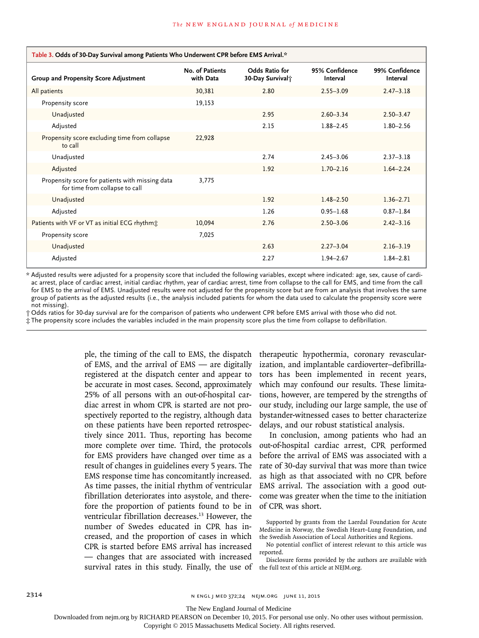| Table 3. Odds of 30-Day Survival among Patients Who Underwent CPR before EMS Arrival.* |                              |                                                |                            |                            |  |
|----------------------------------------------------------------------------------------|------------------------------|------------------------------------------------|----------------------------|----------------------------|--|
| Group and Propensity Score Adjustment                                                  | No. of Patients<br>with Data | Odds Ratio for<br>30-Day Survival <sub>T</sub> | 95% Confidence<br>Interval | 99% Confidence<br>Interval |  |
| All patients                                                                           | 30,381                       | 2.80                                           | $2.55 - 3.09$              | $2.47 - 3.18$              |  |
| Propensity score                                                                       | 19,153                       |                                                |                            |                            |  |
| Unadjusted                                                                             |                              | 2.95                                           | $2.60 - 3.34$              | $2.50 - 3.47$              |  |
| Adjusted                                                                               |                              | 2.15                                           | $1.88 - 2.45$              | $1.80 - 2.56$              |  |
| Propensity score excluding time from collapse<br>to call                               | 22,928                       |                                                |                            |                            |  |
| Unadjusted                                                                             |                              | 2.74                                           | $2.45 - 3.06$              | $2.37 - 3.18$              |  |
| Adjusted                                                                               |                              | 1.92                                           | $1.70 - 2.16$              | $1.64 - 2.24$              |  |
| Propensity score for patients with missing data<br>for time from collapse to call      | 3.775                        |                                                |                            |                            |  |
| Unadjusted                                                                             |                              | 1.92                                           | $1.48 - 2.50$              | $1.36 - 2.71$              |  |
| Adjusted                                                                               |                              | 1.26                                           | $0.95 - 1.68$              | $0.87 - 1.84$              |  |
| Patients with VF or VT as initial ECG rhythm:                                          | 10,094                       | 2.76                                           | $2.50 - 3.06$              | $2.42 - 3.16$              |  |
| Propensity score                                                                       | 7,025                        |                                                |                            |                            |  |
| Unadjusted                                                                             |                              | 2.63                                           | $2.27 - 3.04$              | $2.16 - 3.19$              |  |
| Adjusted                                                                               |                              | 2.27                                           | $1.94 - 2.67$              | $1.84 - 2.81$              |  |

\* Adjusted results were adjusted for a propensity score that included the following variables, except where indicated: age, sex, cause of cardiac arrest, place of cardiac arrest, initial cardiac rhythm, year of cardiac arrest, time from collapse to the call for EMS, and time from the call for EMS to the arrival of EMS. Unadjusted results were not adjusted for the propensity score but are from an analysis that involves the same group of patients as the adjusted results (i.e., the analysis included patients for whom the data used to calculate the propensity score were not missing).

† Odds ratios for 30-day survival are for the comparison of patients who underwent CPR before EMS arrival with those who did not.

‡ The propensity score includes the variables included in the main propensity score plus the time from collapse to defibrillation.

ple, the timing of the call to EMS, the dispatch of EMS, and the arrival of EMS — are digitally registered at the dispatch center and appear to be accurate in most cases. Second, approximately 25% of all persons with an out-of-hospital cardiac arrest in whom CPR is started are not prospectively reported to the registry, although data on these patients have been reported retrospectively since 2011. Thus, reporting has become more complete over time. Third, the protocols for EMS providers have changed over time as a result of changes in guidelines every 5 years. The EMS response time has concomitantly increased. As time passes, the initial rhythm of ventricular fibrillation deteriorates into asystole, and therefore the proportion of patients found to be in ventricular fibrillation decreases.<sup>13</sup> However, the number of Swedes educated in CPR has increased, and the proportion of cases in which CPR is started before EMS arrival has increased — changes that are associated with increased survival rates in this study. Finally, the use of therapeutic hypothermia, coronary revascularization, and implantable cardioverter–defibrillators has been implemented in recent years, which may confound our results. These limitations, however, are tempered by the strengths of our study, including our large sample, the use of bystander-witnessed cases to better characterize delays, and our robust statistical analysis.

In conclusion, among patients who had an out-of-hospital cardiac arrest, CPR performed before the arrival of EMS was associated with a rate of 30-day survival that was more than twice as high as that associated with no CPR before EMS arrival. The association with a good outcome was greater when the time to the initiation of CPR was short.

Supported by grants from the Laerdal Foundation for Acute Medicine in Norway, the Swedish Heart–Lung Foundation, and the Swedish Association of Local Authorities and Regions.

Disclosure forms provided by the authors are available with the full text of this article at NEJM.org.

The New England Journal of Medicine

Downloaded from nejm.org by RICHARD PEARSON on December 10, 2015. For personal use only. No other uses without permission.

No potential conflict of interest relevant to this article was reported.